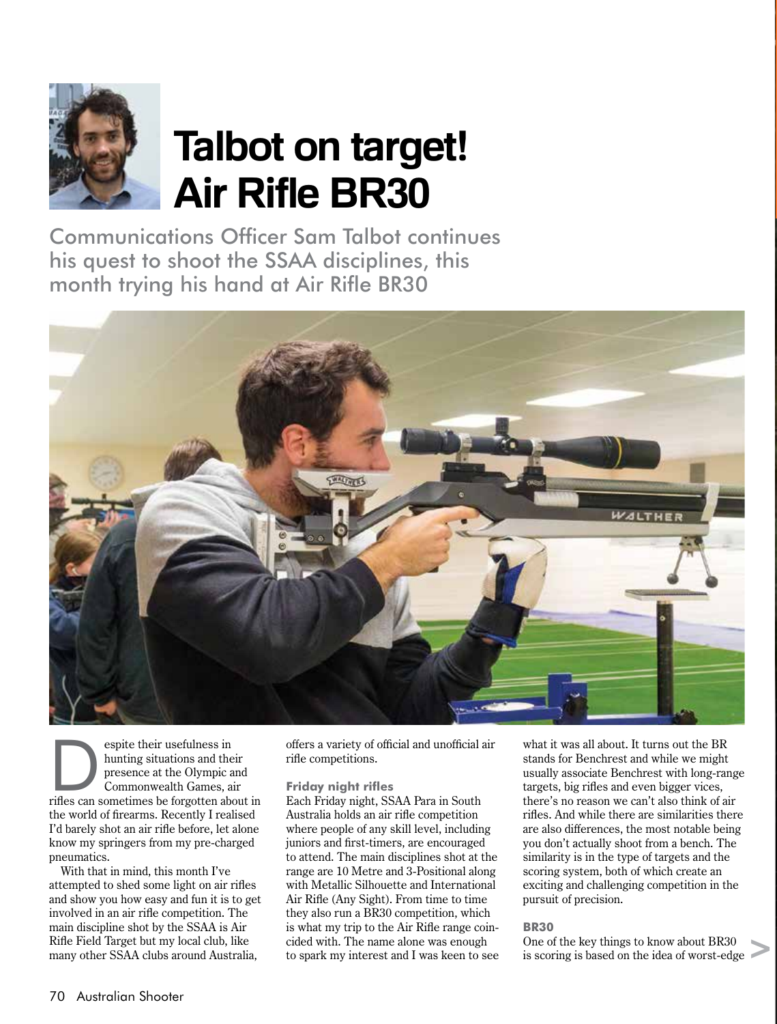

# **Talbot on target! Air Rifle BR30**

Communications Officer Sam Talbot continues his quest to shoot the SSAA disciplines, this month trying his hand at Air Rifle BR30



espite their usefulness in<br>
hunting situations and their<br>
presence at the Olympic and<br>
Commonwealth Games, air<br>
rifles can sometimes be forgotten about in hunting situations and their presence at the Olympic and Commonwealth Games, air the world of firearms. Recently I realised I'd barely shot an air rifle before, let alone know my springers from my pre-charged pneumatics.

With that in mind, this month I've attempted to shed some light on air rifles and show you how easy and fun it is to get involved in an air rifle competition. The main discipline shot by the SSAA is Air Rifle Field Target but my local club, like many other SSAA clubs around Australia,

offers a variety of official and unofficial air rifle competitions.

# **Friday night rifles**

Each Friday night, SSAA Para in South Australia holds an air rifle competition where people of any skill level, including juniors and first-timers, are encouraged to attend. The main disciplines shot at the range are 10 Metre and 3-Positional along with Metallic Silhouette and International Air Rifle (Any Sight). From time to time they also run a BR30 competition, which is what my trip to the Air Rifle range coincided with. The name alone was enough to spark my interest and I was keen to see

what it was all about. It turns out the BR stands for Benchrest and while we might usually associate Benchrest with long-range targets, big rifles and even bigger vices, there's no reason we can't also think of air rifles. And while there are similarities there are also differences, the most notable being you don't actually shoot from a bench. The similarity is in the type of targets and the scoring system, both of which create an exciting and challenging competition in the pursuit of precision.

# **BR30**

One of the key things to know about BR30 is scoring is based on the idea of worst-edge >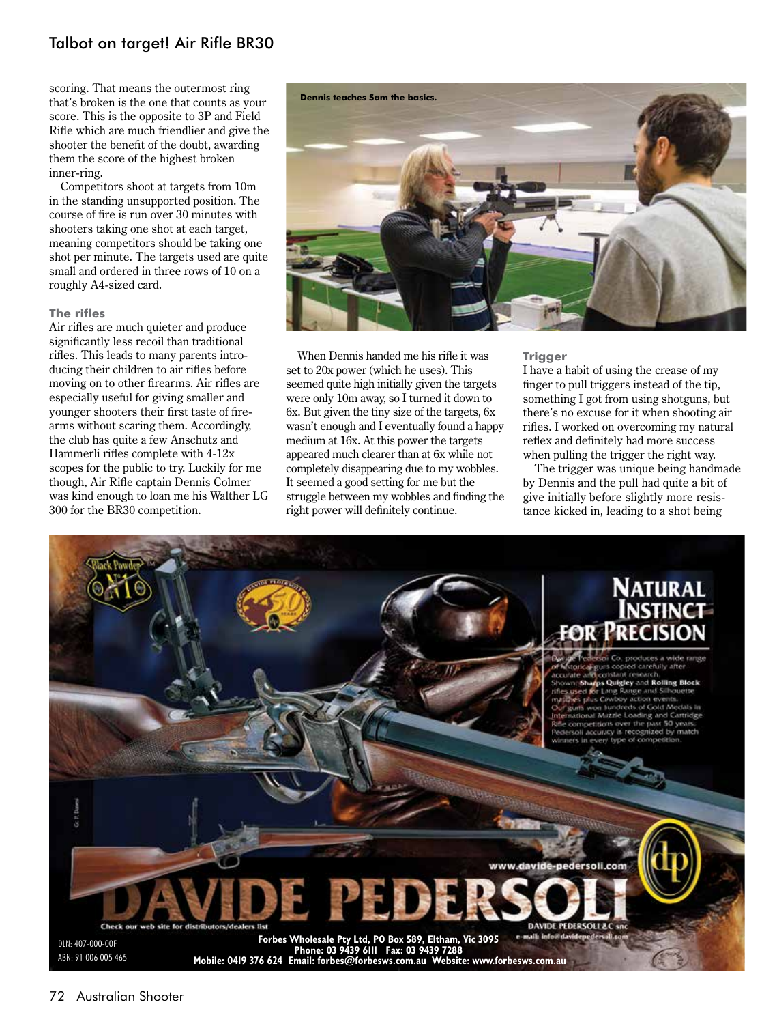# Talbot on target! Air Rifle BR30

scoring. That means the outermost ring that's broken is the one that counts as your score. This is the opposite to 3P and Field Rifle which are much friendlier and give the shooter the benefit of the doubt, awarding them the score of the highest broken inner-ring.

Competitors shoot at targets from 10m in the standing unsupported position. The course of fire is run over 30 minutes with shooters taking one shot at each target, meaning competitors should be taking one shot per minute. The targets used are quite small and ordered in three rows of 10 on a roughly A4-sized card.

### **The rifles**

Air rifles are much quieter and produce significantly less recoil than traditional rifles. This leads to many parents introducing their children to air rifles before moving on to other firearms. Air rifles are especially useful for giving smaller and younger shooters their first taste of firearms without scaring them. Accordingly, the club has quite a few Anschutz and Hammerli rifles complete with 4-12x scopes for the public to try. Luckily for me though, Air Rifle captain Dennis Colmer was kind enough to loan me his Walther LG 300 for the BR30 competition.



When Dennis handed me his rifle it was set to 20x power (which he uses). This seemed quite high initially given the targets were only 10m away, so I turned it down to 6x. But given the tiny size of the targets, 6x wasn't enough and I eventually found a happy medium at 16x. At this power the targets appeared much clearer than at 6x while not completely disappearing due to my wobbles. It seemed a good setting for me but the struggle between my wobbles and finding the right power will definitely continue.

# **Trigger**

I have a habit of using the crease of my finger to pull triggers instead of the tip, something I got from using shotguns, but there's no excuse for it when shooting air rifles. I worked on overcoming my natural reflex and definitely had more success when pulling the trigger the right way.

The trigger was unique being handmade by Dennis and the pull had quite a bit of give initially before slightly more resistance kicked in, leading to a shot being

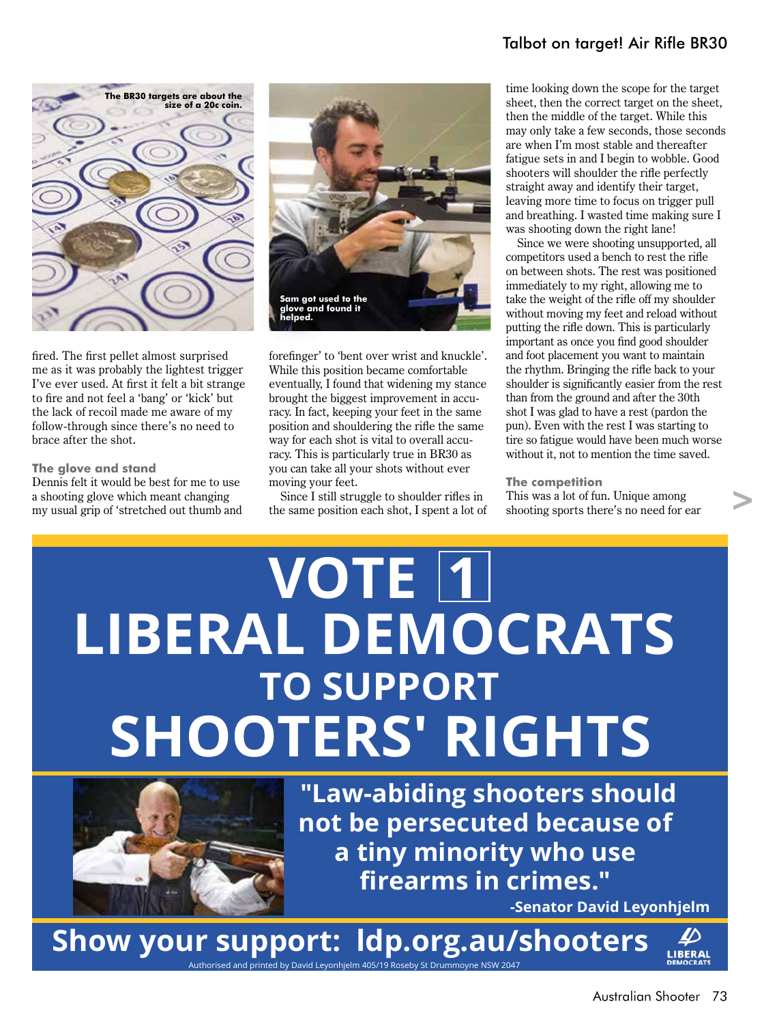# Talbot on target! Air Rifle BR30



fired. The first pellet almost surprised me as it was probably the lightest trigger I've ever used. At first it felt a bit strange to fire and not feel a 'bang' or 'kick' but the lack of recoil made me aware of my follow-through since there's no need to brace after the shot.

# **The glove and stand**

Dennis felt it would be best for me to use a shooting glove which meant changing my usual grip of 'stretched out thumb and



forefinger' to 'bent over wrist and knuckle'. While this position became comfortable eventually, I found that widening my stance brought the biggest improvement in accuracy. In fact, keeping your feet in the same position and shouldering the rifle the same way for each shot is vital to overall accuracy. This is particularly true in BR30 as you can take all your shots without ever moving your feet.

Since I still struggle to shoulder rifles in the same position each shot, I spent a lot of time looking down the scope for the target sheet, then the correct target on the sheet, then the middle of the target. While this may only take a few seconds, those seconds are when I'm most stable and thereafter fatigue sets in and I begin to wobble. Good shooters will shoulder the rifle perfectly straight away and identify their target, leaving more time to focus on trigger pull and breathing. I wasted time making sure I was shooting down the right lane!

Since we were shooting unsupported, all competitors used a bench to rest the rifle on between shots. The rest was positioned immediately to my right, allowing me to take the weight of the rifle off my shoulder without moving my feet and reload without putting the rifle down. This is particularly important as once you find good shoulder and foot placement you want to maintain the rhythm. Bringing the rifle back to your shoulder is significantly easier from the rest than from the ground and after the 30th shot I was glad to have a rest (pardon the pun). Even with the rest I was starting to tire so fatigue would have been much worse without it, not to mention the time saved.

#### **The competition**

This was a lot of fun. Unique among shooting sports there's no need for ear >

# **VOTE 1 LIBERAL DEMOCRATS SHOOTERS' RIGHTS TO SUPPORT**



**"Law-abiding shooters should not be persecuted because of a tiny minority who use firearms in crimes."**

**-Senator David Leyonhjelm**

**Show your support: ldp.org.au/shooters** Authorised and printed by David Leyonhjelm 405/19 Roseby St Drummoyne NSW 2047

LIBERAI